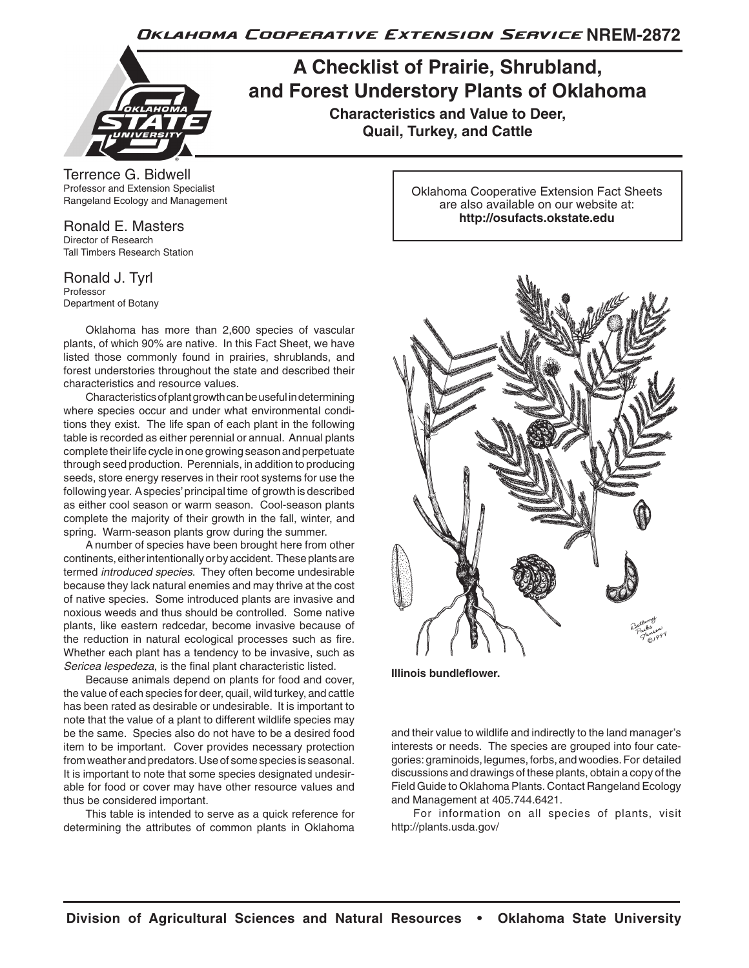Oklahoma Cooperative Extension Service NREM-2872



## **A Checklist of Prairie, Shrubland, and Forest Understory Plants of Oklahoma**

**Characteristics and Value to Deer, Quail, Turkey, and Cattle**

Terrence G. Bidwell Professor and Extension Specialist Rangeland Ecology and Management

Ronald E. Masters Director of Research Tall Timbers Research Station

Ronald J. Tyrl Professor Department of Botany

Oklahoma has more than 2,600 species of vascular plants, of which 90% are native. In this Fact Sheet, we have listed those commonly found in prairies, shrublands, and forest understories throughout the state and described their characteristics and resource values.

Characteristics of plant growth can be useful in determining where species occur and under what environmental conditions they exist. The life span of each plant in the following table is recorded as either perennial or annual. Annual plants complete their life cycle in one growing season and perpetuate through seed production. Perennials, in addition to producing seeds, store energy reserves in their root systems for use the following year. A species' principal time of growth is described as either cool season or warm season. Cool-season plants complete the majority of their growth in the fall, winter, and spring. Warm-season plants grow during the summer.

A number of species have been brought here from other continents, either intentionally or by accident. These plants are termed *introduced species*. They often become undesirable because they lack natural enemies and may thrive at the cost of native species. Some introduced plants are invasive and noxious weeds and thus should be controlled. Some native plants, like eastern redcedar, become invasive because of the reduction in natural ecological processes such as fire. Whether each plant has a tendency to be invasive, such as *Sericea lespedeza*, is the final plant characteristic listed.

Because animals depend on plants for food and cover, the value of each species for deer, quail, wild turkey, and cattle has been rated as desirable or undesirable. It is important to note that the value of a plant to different wildlife species may be the same. Species also do not have to be a desired food item to be important. Cover provides necessary protection from weather and predators. Use of some species is seasonal. It is important to note that some species designated undesirable for food or cover may have other resource values and thus be considered important.

This table is intended to serve as a quick reference for determining the attributes of common plants in Oklahoma Oklahoma Cooperative Extension Fact Sheets are also available on our website at: **http://osufacts.okstate.edu**



**Illinois bundleflower.**

and their value to wildlife and indirectly to the land manager's interests or needs. The species are grouped into four categories: graminoids, legumes, forbs, and woodies. For detailed discussions and drawings of these plants, obtain a copy of the Field Guide to Oklahoma Plants. Contact Rangeland Ecology and Management at 405.744.6421.

For information on all species of plants, visit http://plants.usda.gov/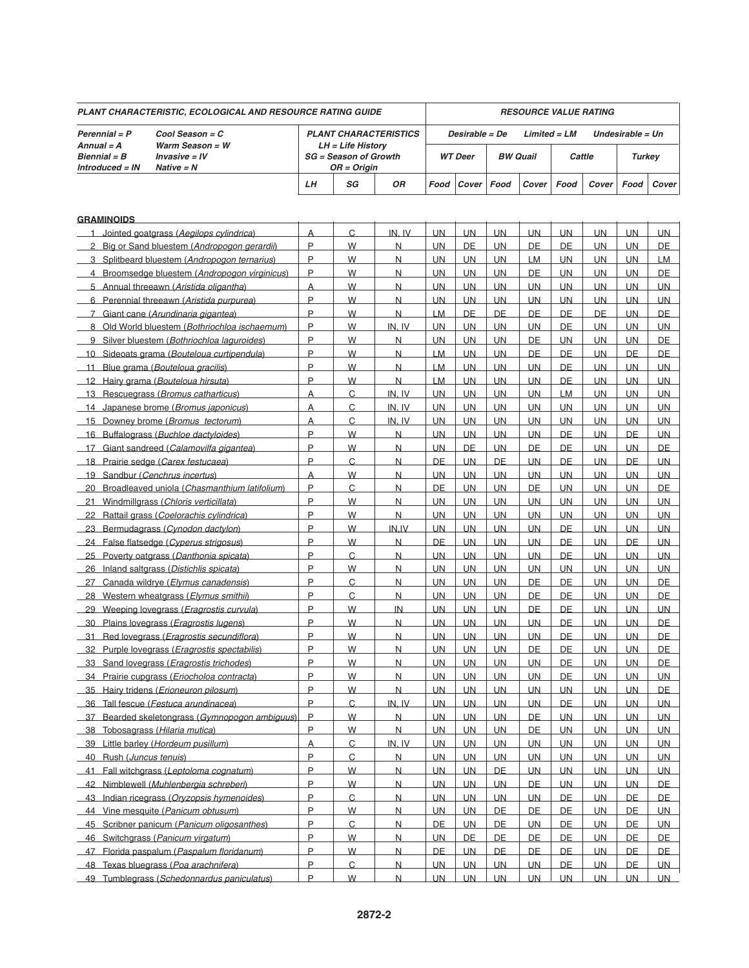| PLANT CHARACTERISTIC, ECOLOGICAL AND RESOURCE RATING GUIDE            |                                                                                            |                                             |                                                   |                         |                        |                                                      | <b>RESOURCE VALUE RATING</b> |                        |                        |                        |                        |           |  |  |  |
|-----------------------------------------------------------------------|--------------------------------------------------------------------------------------------|---------------------------------------------|---------------------------------------------------|-------------------------|------------------------|------------------------------------------------------|------------------------------|------------------------|------------------------|------------------------|------------------------|-----------|--|--|--|
| Cool Season = C<br>Perennial = P<br>Warm Season = $W$<br>$Annual = A$ |                                                                                            |                                             | <b>PLANT CHARACTERISTICS</b><br>LH = Life Historv |                         |                        | Desirable = De<br>$Limited = LM$<br>Undesirable = Un |                              |                        |                        |                        |                        |           |  |  |  |
| $Bienrial = B$<br>$Introduced = IN$                                   | $Invasive = IV$<br>$Native = N$                                                            | <b>SG</b> = Season of Growth<br>OR = Origin |                                                   | <b>WT</b> Deer          |                        | <b>BW Quail</b>                                      |                              | Cattle                 |                        | <b>Turkey</b>          |                        |           |  |  |  |
|                                                                       |                                                                                            | LН                                          | SG                                                | OR                      | Food                   | Cover                                                | Food                         | Cover                  | Food                   | Cover                  | Food                   | Cover     |  |  |  |
| <b>GRAMINOIDS</b>                                                     |                                                                                            |                                             |                                                   |                         |                        |                                                      |                              |                        |                        |                        |                        |           |  |  |  |
| $\mathbf{1}$                                                          | Jointed goatgrass (Aegilops cylindrica)                                                    | Α                                           | C                                                 | IN. IV                  | <b>UN</b>              | <b>UN</b>                                            | <b>UN</b>                    | <b>UN</b>              | <b>UN</b>              | <b>UN</b>              | <b>UN</b>              | <b>UN</b> |  |  |  |
|                                                                       | 2 Big or Sand bluestem (Andropogon gerardii)                                               | P                                           | W                                                 | $\overline{\mathsf{N}}$ | <b>UN</b>              | <b>DE</b>                                            | <b>UN</b>                    | DE                     | DE                     | <b>UN</b>              | <b>UN</b>              | DE        |  |  |  |
|                                                                       | 3 Splitbeard bluestem (Andropogon ternarius)                                               | P                                           | W                                                 | $\overline{N}$          | <b>UN</b>              | <b>UN</b>                                            | <b>UN</b>                    | <b>LM</b>              | <b>UN</b>              | <b>UN</b>              | <b>UN</b>              | <b>LM</b> |  |  |  |
|                                                                       | 4 Broomsedge bluestem (Andropogon virginicus)                                              | P                                           | W                                                 | N                       | <b>UN</b>              | UN.                                                  | <b>UN</b>                    | DE                     | <b>UN</b>              | <b>UN</b>              | <b>UN</b>              | DE        |  |  |  |
|                                                                       | 5 Annual threeawn (Aristida oligantha)                                                     | A                                           | W                                                 | N                       | <b>UN</b>              | <b>UN</b>                                            | UN                           | <b>UN</b>              | <b>UN</b>              | <b>UN</b>              | <b>UN</b>              | <b>UN</b> |  |  |  |
|                                                                       | 6 Perennial threeawn (Aristida purpurea)                                                   | P                                           | W                                                 | N                       | <b>UN</b>              | UN.                                                  | <b>UN</b>                    | <b>UN</b>              | <b>UN</b>              | UN.                    | UN                     | <b>UN</b> |  |  |  |
|                                                                       | 7 Giant cane (Arundinaria gigantea)                                                        | P                                           | W                                                 | $\overline{N}$          | LM                     | DE                                                   | DE                           | DE                     | DE                     | <b>DE</b>              | UN.                    | DE        |  |  |  |
|                                                                       | 8 Old World bluestem (Bothriochloa ischaemum)                                              | P                                           | W                                                 | IN. IV                  | <b>UN</b>              | <b>UN</b>                                            | <b>UN</b>                    | <b>UN</b>              | DE                     | <b>UN</b>              | <b>UN</b>              | <b>UN</b> |  |  |  |
|                                                                       | 9 Silver bluestem (Bothriochloa laguroides)                                                | P                                           | W                                                 | $\overline{N}$          | <b>UN</b>              | UN.                                                  | <b>UN</b>                    | <b>DE</b>              | <b>UN</b>              | <b>UN</b>              | <b>UN</b>              | DE        |  |  |  |
|                                                                       | 10 Sideoats grama (Bouteloua curtipendula)                                                 | P                                           | W                                                 | N                       | LM                     | <b>UN</b>                                            | <b>UN</b>                    | DE                     | DE                     | <b>UN</b>              | DE                     | DE        |  |  |  |
|                                                                       | 11 Blue grama (Bouteloua gracilis)                                                         | P                                           | W                                                 | N.                      | <b>LM</b>              | UN.                                                  | <b>UN</b>                    | UN                     | <b>DE</b>              | <b>UN</b>              | <b>UN</b>              | <b>UN</b> |  |  |  |
|                                                                       | 12 Hairy grama (Bouteloua hirsuta)                                                         | P                                           | W                                                 | N                       | LM                     | UN.                                                  | <b>UN</b>                    | <b>UN</b>              | <b>DE</b>              | UN.                    | <b>UN</b>              | <b>UN</b> |  |  |  |
|                                                                       | 13 Rescuegrass (Bromus catharticus)                                                        | A                                           | C                                                 | IN. IV                  | <b>UN</b>              | UN.                                                  | <b>UN</b>                    | <b>UN</b>              | LM.                    | <b>UN</b>              | UN.                    | <b>UN</b> |  |  |  |
|                                                                       | 14 Japanese brome (Bromus japonicus)                                                       | A                                           | C                                                 | IN. IV                  | <b>UN</b>              | <b>UN</b>                                            | <b>UN</b>                    | <b>UN</b>              | <b>UN</b>              | <b>UN</b>              | <b>UN</b>              | <b>UN</b> |  |  |  |
|                                                                       | 15 Downey brome (Bromus tectorum)                                                          | A                                           | C                                                 | IN. IV                  | <b>UN</b>              | UN.                                                  | <b>UN</b>                    | <b>UN</b>              | <b>UN</b>              | <b>UN</b>              | <b>UN</b>              | <b>UN</b> |  |  |  |
| 16 Buffalograss (Buchloe dactyloides)                                 |                                                                                            | P                                           | W                                                 | $\overline{\mathsf{N}}$ | <b>UN</b>              | UN.                                                  | <b>UN</b>                    | <b>UN</b>              | DE                     | <b>UN</b>              | DE                     | <b>UN</b> |  |  |  |
|                                                                       | 17 Giant sandreed (Calamovilfa gigantea)                                                   | P                                           | W                                                 | N                       | <b>UN</b>              | <b>DE</b>                                            | <b>UN</b>                    | <b>DE</b>              | <b>DE</b>              | <b>UN</b>              | <b>UN</b>              | <b>DE</b> |  |  |  |
|                                                                       | 18 Prairie sedge (Carex festucaea)                                                         | P                                           | C                                                 | N                       | DE                     | UN.                                                  | DE                           | <b>UN</b>              | <b>DE</b>              | UN.                    | <b>DE</b>              | <b>UN</b> |  |  |  |
|                                                                       | 19 Sandbur (Cenchrus incertus)                                                             | $\overline{A}$                              | W                                                 | $\overline{\mathsf{N}}$ | <b>UN</b>              | UN.                                                  | <b>UN</b>                    | UN.                    | <b>UN</b>              | <b>UN</b>              | UN                     | <b>UN</b> |  |  |  |
|                                                                       | 20 Broadleaved uniola (Chasmanthium latifolium)                                            | P                                           | C                                                 | $\overline{\mathsf{N}}$ | <b>DE</b>              | <b>UN</b>                                            | <b>UN</b>                    | <b>DE</b>              | <b>UN</b>              | <b>UN</b>              | <b>UN</b>              | DE        |  |  |  |
| 21                                                                    | Windmillgrass (Chloris verticillata)                                                       | P                                           | W                                                 | $\overline{N}$          | <b>UN</b>              | UN.                                                  | <b>UN</b>                    | <b>UN</b>              | <b>UN</b>              | <b>UN</b>              | <b>UN</b>              | <b>UN</b> |  |  |  |
| 22                                                                    | Rattail grass (Coelorachis cylindrica)                                                     | P                                           | W                                                 | N                       | <b>UN</b>              | UN.                                                  | <b>UN</b>                    | <b>UN</b>              | <b>UN</b>              | <b>UN</b>              | <b>UN</b>              | <b>UN</b> |  |  |  |
|                                                                       | 23 Bermudagrass (Cynodon dactylon)                                                         | P                                           | W                                                 | IN,IV                   | <b>UN</b>              | <b>UN</b>                                            | <b>UN</b>                    | <b>UN</b>              | <b>DE</b>              | <b>UN</b>              | <b>UN</b>              | <b>UN</b> |  |  |  |
|                                                                       | 24 False flatsedge (Cyperus strigosus)                                                     | P                                           | W                                                 | N                       | DE                     | <b>UN</b>                                            | <b>UN</b>                    | <b>UN</b>              | <b>DE</b>              | UN.                    | <b>DE</b>              | <b>UN</b> |  |  |  |
|                                                                       | 25 Poverty oatgrass (Danthonia spicata)                                                    | P                                           | C                                                 | $\overline{\mathsf{N}}$ | <b>UN</b>              | UN.                                                  | <b>UN</b>                    | <b>UN</b>              | DE                     | <b>UN</b>              | UN.                    | <b>UN</b> |  |  |  |
|                                                                       | 26 Inland saltgrass (Distichlis spicata)                                                   | P                                           | W                                                 | $\overline{\mathsf{N}}$ | <b>UN</b>              | <b>UN</b>                                            | <b>UN</b>                    | <b>UN</b>              | <b>UN</b>              | <b>UN</b>              | <b>UN</b>              | <b>UN</b> |  |  |  |
| 27                                                                    | Canada wildrye (Elymus canadensis)                                                         | P<br>P                                      | C                                                 | N                       | <b>UN</b>              | UN.                                                  | <b>UN</b>                    | <b>DE</b>              | DE                     | <b>UN</b>              | <b>UN</b>              | DE        |  |  |  |
| 28                                                                    | Western wheatgrass (Elymus smithii)                                                        | P                                           | C                                                 | $\overline{\mathsf{N}}$ | <b>UN</b>              | UN.                                                  | <b>UN</b>                    | DE                     | DE                     | <b>UN</b>              | <b>UN</b>              | DE        |  |  |  |
| 29                                                                    | Weeping lovegrass (Eragrostis curvula)                                                     | P                                           | W                                                 | IN.                     | <b>UN</b>              | <b>UN</b>                                            | <b>UN</b>                    | DE                     | <b>DE</b><br><b>DE</b> | <b>UN</b>              | <b>UN</b>              | <b>UN</b> |  |  |  |
|                                                                       | 30 Plains lovegrass (Eragrostis lugens)                                                    | P                                           | W<br>W                                            | N<br>N                  | <b>UN</b><br><b>UN</b> | <b>UN</b><br><b>UN</b>                               | <b>UN</b><br><b>UN</b>       | <b>UN</b><br><b>UN</b> | DE                     | <b>UN</b><br><b>UN</b> | <b>UN</b><br><b>UN</b> | DE<br>DE  |  |  |  |
|                                                                       | 31 Red lovegrass (Eragrostis secundiflora)<br>32 Purple lovegrass (Eragrostis spectabilis) | D                                           | W                                                 | <b>NI</b>               | <b>UN</b>              | UN                                                   | <b>UN</b>                    | DE                     | <b>DE</b>              | <b>UN</b>              | <b>UN</b>              | DE        |  |  |  |
|                                                                       | 33 Sand lovegrass (Eragrostis trichodes)                                                   | P                                           | W                                                 | $\overline{\mathsf{N}}$ | <b>UN</b>              | <b>UN</b>                                            | <b>UN</b>                    | <b>UN</b>              | <b>DE</b>              | <b>UN</b>              | <b>UN</b>              | DE        |  |  |  |
|                                                                       | 34 Prairie cupgrass (Eriocholoa contracta)                                                 | P                                           | W                                                 | $\overline{N}$          | <b>UN</b>              | <b>UN</b>                                            | <b>UN</b>                    | <b>UN</b>              | DE                     | UN.                    | UN                     | UN.       |  |  |  |
|                                                                       | 35 Hairy tridens (Erioneuron pilosum)                                                      | P                                           | W                                                 | Ν                       | <b>UN</b>              | <b>UN</b>                                            | <b>UN</b>                    | <b>UN</b>              | <b>UN</b>              | <b>UN</b>              | <b>UN</b>              | DE        |  |  |  |
|                                                                       | 36 Tall fescue (Festuca arundinacea)                                                       | P                                           | $\overline{C}$                                    | IN, IV                  | <b>UN</b>              | UN.                                                  | <b>UN</b>                    | <b>UN</b>              | <b>DE</b>              | <b>UN</b>              | <b>UN</b>              | <b>UN</b> |  |  |  |
|                                                                       | 37 Bearded skeletongrass (Gymnopogon ambiguus)                                             | P                                           | W                                                 | $\overline{\mathsf{N}}$ | <b>UN</b>              | <b>UN</b>                                            | <b>UN</b>                    | <b>DE</b>              | <b>UN</b>              | <b>UN</b>              | <b>UN</b>              | <b>UN</b> |  |  |  |
|                                                                       | 38 Tobosagrass (Hilaria mutica)                                                            | P                                           | W                                                 | $\overline{N}$          | <b>UN</b>              | <b>UN</b>                                            | <b>UN</b>                    | DE.                    | <b>UN</b>              | <b>UN</b>              | <b>UN</b>              | <b>UN</b> |  |  |  |
|                                                                       | 39 Little barley (Hordeum pusillum)                                                        | A                                           | $\mathsf{C}$                                      | IN. IV                  | <b>UN</b>              | <b>UN</b>                                            | <b>UN</b>                    | <b>UN</b>              | <b>UN</b>              | <b>UN</b>              | <b>UN</b>              | <b>UN</b> |  |  |  |
| 40 Rush (Juncus tenuis)                                               |                                                                                            | P                                           | $\mathsf{C}$                                      | $\overline{\mathsf{N}}$ | <b>UN</b>              | <b>UN</b>                                            | <b>UN</b>                    | <b>UN</b>              | <b>UN</b>              | UN.                    | UN                     | <b>UN</b> |  |  |  |
| $-41$                                                                 | Fall witchgrass (Leptoloma cognatum)                                                       | P                                           | W                                                 | N.                      | <b>UN</b>              | <b>UN</b>                                            | DE                           | <b>UN</b>              | <b>UN</b>              | <b>UN</b>              | UN.                    | UN.       |  |  |  |
| 42 Nimblewell (Muhlenbergia schreberi)                                |                                                                                            | P                                           | W                                                 | $\overline{\mathsf{N}}$ | <b>UN</b>              | <b>UN</b>                                            | <b>UN</b>                    | DE.                    | <b>UN</b>              | <b>UN</b>              | <b>UN</b>              | <b>DE</b> |  |  |  |
| 43 Indian ricegrass (Oryzopsis hymenoides)                            |                                                                                            | P                                           | $\overline{C}$                                    | $\overline{N}$          | <b>UN</b>              | <b>UN</b>                                            | <b>UN</b>                    | <b>UN</b>              | DE                     | <b>UN</b>              | <b>DE</b>              | <b>DE</b> |  |  |  |
|                                                                       | 44 Vine mesquite (Panicum obtusum)                                                         | P                                           | W                                                 | $\overline{N}$          | <b>UN</b>              | <b>UN</b>                                            | DE                           | <b>DE</b>              | <b>DE</b>              | <b>UN</b>              | <b>DE</b>              | <b>UN</b> |  |  |  |
|                                                                       | 45 Scribner panicum (Panicum oligosanthes)                                                 | P                                           | C                                                 | $\overline{\mathsf{N}}$ | <b>DE</b>              | <b>UN</b>                                            | <b>DE</b>                    | <b>UN</b>              | <b>DE</b>              | <b>UN</b>              | DE                     | <b>UN</b> |  |  |  |
|                                                                       | 46 Switchgrass (Panicum virgatum)                                                          | P                                           | W                                                 | $\overline{\mathsf{N}}$ | <b>UN</b>              | <b>DE</b>                                            | DE                           | <b>DE</b>              | DE                     | UN.                    | DE                     | DE        |  |  |  |
|                                                                       | 47 Florida paspalum (Paspalum floridanum)                                                  | P                                           | W                                                 | N.                      | <b>DE</b>              | <b>UN</b>                                            | DE                           | <b>DE</b>              | DE                     | <b>UN</b>              | <b>DE</b>              | <b>DE</b> |  |  |  |
|                                                                       | 48 Texas bluegrass (Poa arachnifera)                                                       | P                                           | $\overline{C}$                                    | $\overline{\mathsf{N}}$ | <b>UN</b>              | <b>UN</b>                                            | <b>UN</b>                    | <b>UN</b>              | <b>DE</b>              | <b>UN</b>              | DE                     | <b>UN</b> |  |  |  |
|                                                                       | 49 Tumblegrass (Schedonnardus paniculatus)                                                 | P                                           | W                                                 | $\overline{\mathsf{N}}$ | <b>UN</b>              | UN                                                   | <b>UN</b>                    | <b>UN</b>              | <b>UN</b>              | UN                     | UN.                    | UN        |  |  |  |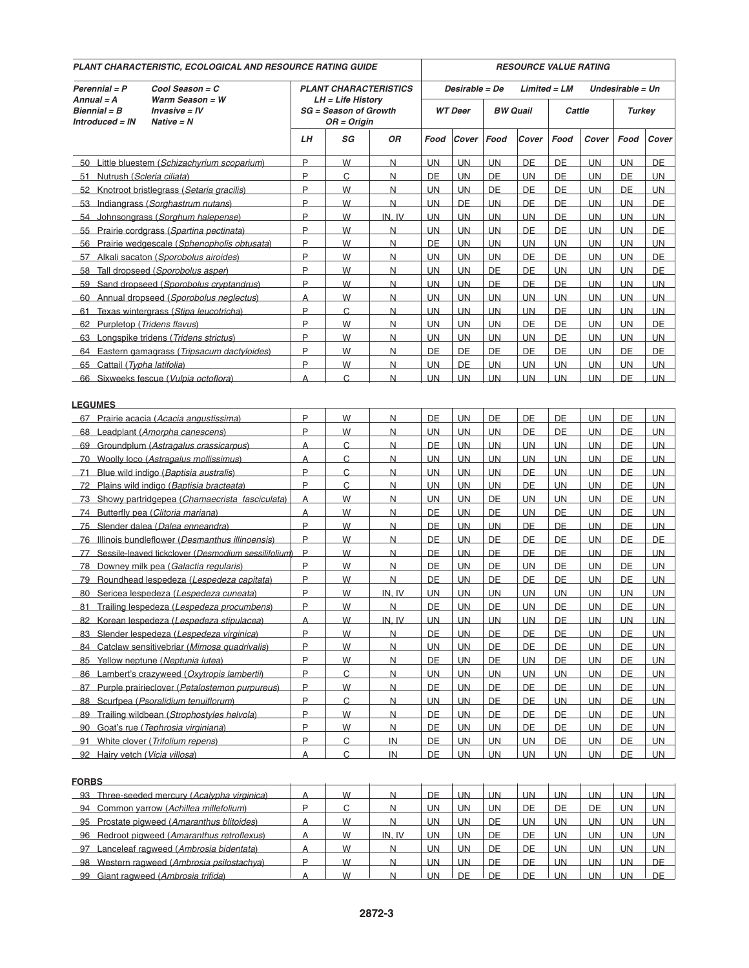| PLANT CHARACTERISTIC, ECOLOGICAL AND RESOURCE RATING GUIDE                                                       | <b>RESOURCE VALUE RATING</b> |                                                                  |                                           |                  |                         |                 |                         |                 |                         |                        |                         |
|------------------------------------------------------------------------------------------------------------------|------------------------------|------------------------------------------------------------------|-------------------------------------------|------------------|-------------------------|-----------------|-------------------------|-----------------|-------------------------|------------------------|-------------------------|
| Cool Season = C<br>Perennial = P                                                                                 |                              | <b>PLANT CHARACTERISTICS</b>                                     |                                           |                  | Desirable = De          |                 | $Limited = LM$          |                 | Undesirable = Un        |                        |                         |
| Warm Season = $W$<br>Annual $=$ A<br>$Invasive = IV$<br>$Bienrial = B$<br><b>Introduced = IN</b><br>$Native = N$ |                              | LH = Life History<br><b>SG</b> = Season of Growth<br>OR = Origin |                                           |                  | <b>WT</b> Deer          |                 | <b>BW Quail</b>         | Cattle          |                         | <b>Turkey</b>          |                         |
|                                                                                                                  |                              | SG                                                               | ΟR                                        | Food             | Cover                   | Food            | Cover                   | Food            | Cover                   | Food                   | Cover                   |
| 50 Little bluestem (Schizachyrium scoparium)                                                                     | P                            | W                                                                | N                                         | UN.              | UN.                     | UN.             | DE                      | DE              | UN.                     | <b>UN</b>              | DE.                     |
| 51 Nutrush (Scleria ciliata)                                                                                     | P                            | C                                                                | $\overline{N}$                            | DE               | UN                      | DE              | <b>UN</b>               | DE              | <b>UN</b>               | DE                     | <b>UN</b>               |
| 52 Knotroot bristlegrass (Setaria gracilis)                                                                      | P                            | W                                                                | $\overline{\mathsf{N}}$                   | <b>UN</b>        | <b>UN</b>               | DE              | <b>DE</b>               | <b>DE</b>       | <b>UN</b>               | DE                     | <b>UN</b>               |
| 53 Indiangrass (Sorghastrum nutans)                                                                              | P                            | W                                                                | $\overline{N}$                            | UN.              | DE                      | UN.             | <b>DE</b>               | DE              | <b>UN</b>               | <b>UN</b>              | DE.                     |
| 54 Johnsongrass (Sorghum halepense)                                                                              | P                            | W                                                                | IN. IV                                    | <b>UN</b>        | <b>UN</b>               | <b>UN</b>       | <b>UN</b>               | DE              | <b>UN</b>               | <b>UN</b>              | <b>UN</b>               |
| 55 Prairie cordorass (Spartina pectinata)                                                                        | P                            | W                                                                | N                                         | <b>UN</b>        | <b>UN</b>               | <b>UN</b>       | DE                      | DE              | <b>UN</b>               | <b>UN</b>              | <b>DE</b>               |
| 56 Prairie wedgescale (Sphenopholis obtusata)                                                                    | P                            | W                                                                | $\overline{N}$                            | DE               | UN                      | UN.             | <b>UN</b>               | UN.             | UN.                     | <b>UN</b>              | <b>UN</b>               |
| 57 Alkali sacaton (Sporobolus airoides)                                                                          | P<br>P                       | W                                                                | $\overline{N}$                            | <b>UN</b>        | UN                      | <b>UN</b>       | DE<br><b>DE</b>         | <b>DE</b>       | <b>UN</b>               | <b>UN</b>              | DE                      |
| 58 Tall dropseed (Sporobolus asper)<br>59 Sand dropseed (Sporobolus cryptandrus)                                 | P                            | W<br>W                                                           | $\overline{\mathsf{N}}$<br>$\overline{N}$ | <b>UN</b><br>UN. | <b>UN</b><br>UN.        | DE<br>DE        | <b>DE</b>               | <b>UN</b><br>DE | <b>UN</b><br><b>UN</b>  | <b>UN</b><br><b>UN</b> | <b>DE</b><br><b>UN</b>  |
| 60 Annual dropseed (Sporobolus neglectus)                                                                        | A                            | W                                                                | $\overline{N}$                            | <b>UN</b>        | UN.                     | <b>UN</b>       | <b>UN</b>               | <b>UN</b>       | <b>UN</b>               | <b>UN</b>              | <b>UN</b>               |
| 61 Texas wintergrass (Stipa leucotricha)                                                                         | P                            | C                                                                | N                                         | <b>UN</b>        | <b>UN</b>               | <b>UN</b>       | <b>UN</b>               | DE              | <b>UN</b>               | <b>UN</b>              | <b>UN</b>               |
| 62 Purpletop (Tridens flavus)                                                                                    | P                            | W                                                                | $\overline{N}$                            | UN.              | UN.                     | <b>UN</b>       | DE                      | DE              | <b>UN</b>               | <b>UN</b>              | DE.                     |
| 63 Longspike tridens (Tridens strictus)                                                                          | P                            | W                                                                | $\overline{N}$                            | <b>UN</b>        | UN.                     | <b>UN</b>       | <b>UN</b>               | <b>DE</b>       | <b>UN</b>               | <b>UN</b>              | <b>UN</b>               |
| 64 Eastern gamagrass (Tripsacum dactyloides)                                                                     | P                            | W                                                                | $\overline{\mathsf{N}}$                   | <b>DE</b>        | <b>DE</b>               | <b>DE</b>       | <b>DE</b>               | <b>DE</b>       | <b>UN</b>               | <b>DE</b>              | <b>DE</b>               |
| 65 Cattail (Typha latifolia)                                                                                     | P                            | W                                                                | $\overline{N}$                            | <b>UN</b>        | DE                      | UN.             | UN.                     | <b>UN</b>       | <b>UN</b>               | <b>UN</b>              | <b>UN</b>               |
| 66 Sixweeks fescue (Vulpia octoflora)                                                                            | A                            | C                                                                | N                                         | <b>UN</b>        | <b>UN</b>               | <b>UN</b>       | <b>UN</b>               | <b>UN</b>       | <b>UN</b>               | DE                     | <b>UN</b>               |
| <b>LEGUMES</b>                                                                                                   |                              |                                                                  |                                           |                  |                         |                 |                         |                 |                         |                        |                         |
| 67 Prairie acacia (Acacia angustissima)                                                                          | P                            | W                                                                | N                                         | DE               | <b>UN</b>               | DE              | DE                      | DE              | <b>UN</b>               | DE                     | UN.                     |
| 68 Leadplant (Amorpha canescens)                                                                                 | P                            | W                                                                | $\overline{\mathsf{N}}$                   | <b>UN</b>        | <b>UN</b>               | <b>UN</b>       | <b>DE</b>               | <b>DE</b>       | <b>UN</b>               | DE                     | <b>UN</b>               |
| 69 Groundplum (Astragalus crassicarpus)                                                                          | A                            | $\mathsf{C}$                                                     | $\overline{N}$                            | <b>DE</b>        | <b>UN</b>               | UN.             | <b>UN</b>               | UN.             | <b>UN</b>               | DE                     | <b>UN</b>               |
| 70 Woolly loco (Astragalus mollissimus)                                                                          | A                            | C                                                                | $\overline{N}$                            | <b>UN</b>        | UN.                     | <b>UN</b>       | <b>UN</b>               | <b>UN</b>       | <b>UN</b>               | DE                     | <b>UN</b>               |
| 71 Blue wild indigo (Baptisia australis)                                                                         | P                            | C                                                                | N                                         | <b>UN</b>        | <b>UN</b>               | <b>UN</b>       | DE                      | <b>UN</b>       | <b>UN</b>               | DE                     | <b>UN</b>               |
| 72 Plains wild indigo (Baptisia bracteata)                                                                       | P                            | C                                                                | $\overline{N}$                            | UN.              | UN                      | <b>UN</b>       | <b>DE</b>               | <b>UN</b>       | <b>UN</b>               | DE                     | <b>UN</b>               |
| 73 Showy partridgepea (Chamaecrista fasciculata)                                                                 | A                            | W                                                                | $\overline{N}$                            | <b>UN</b>        | UN.                     | DE              | <b>UN</b>               | <b>UN</b>       | <b>UN</b>               | DE                     | <b>UN</b>               |
| 74 Butterfly pea (Clitoria mariana)                                                                              | A                            | W                                                                | $\overline{\mathsf{N}}$                   | <b>DE</b>        | <b>UN</b>               | DE              | <b>UN</b>               | <b>DE</b>       | <b>UN</b>               | <b>DE</b>              | <b>UN</b>               |
| 75 Slender dalea (Dalea enneandra)                                                                               | P                            | W                                                                | N                                         | DE               | <b>UN</b>               | UN.             | <b>DE</b>               | DE              | <b>UN</b>               | DE                     | <b>UN</b>               |
| 76 Illinois bundleflower (Desmanthus illinoensis)                                                                | P                            | W                                                                | N                                         | DE               | <b>UN</b>               | DE              | DE                      | DE              | <b>UN</b>               | DE                     | DE                      |
| 77 Sessile-leaved tickclover (Desmodium sessilifolium)                                                           | P                            | W                                                                | N                                         | DE               | <b>UN</b>               | DE              | DE                      | DE              | <b>UN</b>               | DE                     | <b>UN</b>               |
| 78 Downey milk pea (Galactia regularis)                                                                          | P                            | W                                                                | $\overline{N}$                            | <b>DE</b>        | UN                      | <b>DE</b>       | <b>UN</b>               | DE              | UN.                     | <b>DE</b>              | <b>UN</b>               |
| 79 Roundhead lespedeza (Lespedeza capitata)                                                                      | P                            | W                                                                | N                                         | DE               | UN                      | DE              | DE                      | DE              | <b>UN</b>               | DE                     | <b>UN</b>               |
| 80 Sericea lespedeza (Lespedeza cuneata)                                                                         | P<br>P                       | W<br>W                                                           | IN. IV                                    | <b>UN</b><br>DE  | <b>UN</b><br><b>IIN</b> | <b>UN</b><br>DF | <b>UN</b><br><b>IIN</b> | <b>UN</b><br>DE | <b>UN</b><br><b>IIN</b> | <b>UN</b><br>DE        | <b>UN</b><br><b>IIN</b> |
| 81 Trailing lespedeza (Lespedeza procumbens)<br>82 Korean lespedeza (Lespedeza stipulacea)                       |                              | W                                                                | N<br>IN, IV                               | <b>UN</b>        | <b>UN</b>               | <b>UN</b>       | <b>UN</b>               | <b>DE</b>       | <b>UN</b>               | <b>UN</b>              | UN.                     |
| 83 Slender lespedeza (Lespedeza virginica)                                                                       | A<br>P                       | W                                                                | N                                         | <b>DE</b>        | <b>UN</b>               | DE              | DE                      | DE              | <b>UN</b>               | DE                     | <b>UN</b>               |
| 84 Catclaw sensitivebriar (Mimosa quadrivalis)                                                                   | P.                           | W.                                                               | <u>N</u>                                  | <b>UN</b>        | <b>UN</b>               | DE              | DE                      | DE              | <b>UN</b>               | <b>DE</b>              | <u>UN</u>               |
| 85 Yellow neptune (Neptunia lutea)                                                                               | P                            | W                                                                | $\overline{N}$                            | <b>DE</b>        | <b>UN</b>               | DE              | <b>UN</b>               | <b>DE</b>       | <b>UN</b>               | DE                     | UN                      |
| 86 Lambert's crazyweed (Oxytropis lambertii)                                                                     | P                            | $\overline{C}$                                                   | $\overline{N}$                            | <b>UN</b>        | <b>UN</b>               | <b>UN</b>       | <b>UN</b>               | <b>UN</b>       | <b>UN</b>               | <b>DE</b>              | <b>UN</b>               |
| 87 Purple prairieclover (Petalostemon purpureus)                                                                 | P                            | W                                                                | $\overline{\mathsf{N}}$                   | <b>DE</b>        | <b>UN</b>               | DE              | DE                      | DE              | <b>UN</b>               | DE                     | <b>UN</b>               |
| 88 Scurfpea (Psoralidium tenuiflorum)                                                                            | P                            | $\mathsf{C}$                                                     | $\overline{N}$                            | <b>UN</b>        | <b>UN</b>               | DE              | DE                      | <b>UN</b>       | <b>UN</b>               | DE                     | <b>UN</b>               |
| 89 Trailing wildbean (Strophostyles helvola)                                                                     | P                            | W                                                                | $\overline{N}$                            | <b>DE</b>        | <b>UN</b>               | DE              | DE                      | DE              | UN                      | DE                     | <b>UN</b>               |
| 90 Goat's rue (Tephrosia virginiana)                                                                             | P                            | W                                                                | $\overline{\mathsf{N}}$                   | <b>DE</b>        | <b>UN</b>               | UN              | DE                      | DE              | UN                      | DE                     | <u>UN</u>               |
| 91 White clover (Trifolium repens)                                                                               | P                            | $\overline{C}$                                                   | IN                                        | <b>DE</b>        | <b>UN</b>               | <b>UN</b>       | <b>UN</b>               | <b>DE</b>       | <b>UN</b>               | <b>DE</b>              | UN                      |
| 92 Hairy vetch (Vicia villosa)                                                                                   | A                            | $\overline{C}$                                                   | IN                                        | <b>DE</b>        | <b>UN</b>               | <b>UN</b>       | <b>UN</b>               | <b>UN</b>       | <b>UN</b>               | <b>DE</b>              | UN                      |
| <b>FORBS</b>                                                                                                     |                              |                                                                  |                                           |                  |                         |                 |                         |                 |                         |                        |                         |
| 93 Three-seeded mercury (Acalypha virginica)                                                                     | A                            | W                                                                | $\overline{N}$                            | DE               | <b>UN</b>               | <b>UN</b>       | <b>UN</b>               | <b>UN</b>       | <b>UN</b>               | <b>UN</b>              | <b>UN</b>               |
| 94 Common yarrow (Achillea millefolium)                                                                          | $\mathsf{P}$                 | $\overline{C}$                                                   | <u>N</u>                                  | UN               | <b>UN</b>               | <u>UN</u>       | DE                      | DE              | <b>DE</b>               | UN                     | <u>UN</u>               |
| 95 Prostate pigweed (Amaranthus blitoides)                                                                       | A                            | W                                                                | $\overline{N}$                            | UN.              | <b>UN</b>               | DE              | <b>UN</b>               | UN.             | UN.                     | <b>UN</b>              | UN.                     |
| 96 Redroot pigweed (Amaranthus retroflexus)                                                                      | A                            | W                                                                | IN, IV                                    | <b>UN</b>        | <b>UN</b>               | <b>DE</b>       | <b>DE</b>               | <b>UN</b>       | <b>UN</b>               | <b>UN</b>              | <b>UN</b>               |
| 97 Lanceleaf ragweed (Ambrosia bidentata)                                                                        | A                            | W                                                                | $\overline{\mathsf{N}}$                   | <b>UN</b>        | <b>UN</b>               | DE              | DE                      | <b>UN</b>       | <b>UN</b>               | <b>UN</b>              | <b>UN</b>               |
| 98 Western ragweed (Ambrosia psilostachya)                                                                       | P.                           | W                                                                | $\overline{N}$                            | <b>UN</b>        | <b>UN</b>               | <b>DE</b>       | DE                      | <b>UN</b>       | <b>UN</b>               | <b>UN</b>              | DE                      |
| 99 Giant ragweed (Ambrosia trifida)                                                                              |                              | W                                                                | $\overline{N}$                            | <b>UN</b>        | <b>DE</b>               | <b>DE</b>       | DE                      | <b>UN</b>       | UN.                     | UN                     | DE.                     |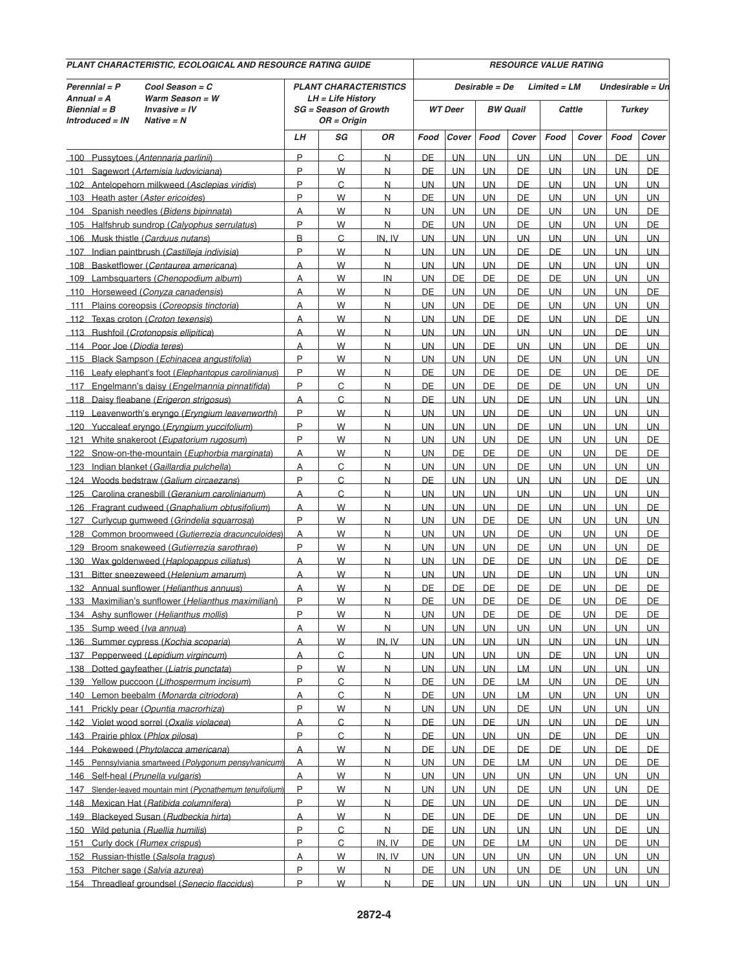| PLANT CHARACTERISTIC, ECOLOGICAL AND RESOURCE RATING GUIDE |                                                                     |                                                                                     |                                  |                                |                        |                        | <b>RESOURCE VALUE RATING</b>      |                        |                          |                        |                                   |                 |  |  |  |
|------------------------------------------------------------|---------------------------------------------------------------------|-------------------------------------------------------------------------------------|----------------------------------|--------------------------------|------------------------|------------------------|-----------------------------------|------------------------|--------------------------|------------------------|-----------------------------------|-----------------|--|--|--|
| Perennial = P<br>$Annual = A$<br>Biennial = B              | Cool Season = C<br>Warm Season = W<br>Invasive = IV<br>$Native = N$ | <b>PLANT CHARACTERISTICS</b><br>$LH = Life History$<br><b>SG</b> = Season of Growth |                                  |                                | <b>WT</b> Deer         |                        | Desirable = De<br><b>BW Quail</b> |                        | $Limited = LM$<br>Cattle |                        | Undesirable = Un<br><b>Turkey</b> |                 |  |  |  |
| Introduced = IN                                            |                                                                     | $OR = Origin$                                                                       |                                  |                                | Cover                  |                        |                                   |                        |                          |                        | Food                              |                 |  |  |  |
|                                                            |                                                                     | LН                                                                                  | SG                               | 0R                             | Food                   |                        | Food                              | Cover                  | Food                     | Cover                  |                                   | Cover           |  |  |  |
|                                                            | 100 Pussytoes (Antennaria parlinii)                                 | P                                                                                   | C                                | N                              | DE                     | <b>UN</b>              | <b>UN</b>                         | <b>UN</b>              | <b>UN</b>                | UN                     | DE                                | <b>UN</b>       |  |  |  |
| 101                                                        | Sagewort (Artemisia ludoviciana)                                    | P                                                                                   | W                                | N                              | DE                     | <b>UN</b>              | <b>UN</b>                         | DE                     | <b>UN</b>                | <b>UN</b>              | <b>UN</b>                         | DE              |  |  |  |
|                                                            | 102 Antelopehorn milkweed (Asclepias viridis)                       | P                                                                                   | C                                | N                              | <b>UN</b>              | <b>UN</b>              | <b>UN</b>                         | <b>DE</b>              | UN.                      | <b>UN</b>              | <b>UN</b>                         | <b>UN</b>       |  |  |  |
| 103 Heath aster (Aster ericoides)                          |                                                                     | P                                                                                   | W                                | N                              | DE                     | <b>UN</b>              | <b>UN</b>                         | <b>DE</b>              | <b>UN</b>                | <b>UN</b>              | <b>UN</b>                         | UN              |  |  |  |
|                                                            | 104 Spanish needles (Bidens bipinnata)                              | A                                                                                   | W                                | N                              | UN.                    | <b>UN</b>              | <b>UN</b>                         | DE                     | <b>UN</b>                | <b>UN</b>              | UN.                               | DE              |  |  |  |
|                                                            | 105 Halfshrub sundrop (Calyophus serrulatus)                        | P                                                                                   | W                                | N                              | DE                     | <b>UN</b>              | <b>UN</b>                         | <b>DE</b>              | <b>UN</b>                | <b>UN</b>              | <b>UN</b>                         | DE              |  |  |  |
| 106 Musk thistle (Carduus nutans)                          |                                                                     | B                                                                                   | C                                | IN. IV                         | <b>UN</b>              | <b>UN</b>              | <b>UN</b>                         | <b>UN</b>              | <b>UN</b>                | <b>UN</b>              | UN                                | <b>UN</b>       |  |  |  |
|                                                            | 107 Indian paintbrush (Castilleja indivisia)                        | P                                                                                   | W                                | N                              | UN.                    | UN                     | <b>UN</b>                         | DE                     | DE                       | UN.                    | <b>UN</b>                         | <b>UN</b>       |  |  |  |
|                                                            | 108 Basketflower (Centaurea americana)                              | A                                                                                   | W                                | N                              | <b>UN</b>              | <b>UN</b>              | <b>UN</b>                         | DE                     | <b>UN</b>                | <b>UN</b>              | <b>UN</b>                         | <b>UN</b>       |  |  |  |
|                                                            | 109 Lambsquarters (Chenopodium album)                               | A                                                                                   | W                                | $\overline{\mathsf{I}}$        | <b>UN</b>              | <b>DE</b>              | <b>DE</b>                         | <b>DE</b>              | <b>DE</b>                | <b>UN</b>              | <b>UN</b>                         | UN              |  |  |  |
|                                                            | 110 Horseweed (Conyza canadensis)                                   | A                                                                                   | W                                | N                              | DE                     | <b>UN</b>              | <b>UN</b>                         | DE                     | <b>UN</b>                | <b>UN</b>              | <b>UN</b>                         | DE              |  |  |  |
| 111                                                        | Plains coreopsis (Coreopsis tinctoria)                              | A                                                                                   | W                                | N                              | <b>UN</b>              | <b>UN</b>              | DE                                | DE                     | <b>UN</b>                | <b>UN</b>              | <b>UN</b>                         | <b>UN</b>       |  |  |  |
| 112                                                        | Texas croton (Croton texensis)                                      | A                                                                                   | W                                | N                              | <b>UN</b>              | <b>UN</b>              | DE                                | DE                     | <b>UN</b>                | <b>UN</b>              | DE                                | <b>UN</b>       |  |  |  |
|                                                            | 113 Rushfoil (Crotonopsis ellipitica)                               | A                                                                                   | W                                | N                              | <b>UN</b>              | <b>UN</b>              | <b>UN</b>                         | <b>UN</b>              | UN                       | <b>UN</b>              | DE                                | <b>UN</b>       |  |  |  |
| Poor Joe (Diodia teres)<br>114                             |                                                                     | A                                                                                   | W                                | N                              | <b>UN</b>              | UN                     | DE                                | UN.                    | UN                       | UN.                    | DE                                | <b>UN</b>       |  |  |  |
|                                                            | 115 Black Sampson (Echinacea angustifolia)                          | P                                                                                   | W                                | N                              | <b>UN</b>              | <b>UN</b>              | <b>UN</b>                         | <b>DE</b>              | <b>UN</b>                | <b>UN</b>              | <b>UN</b>                         | UN              |  |  |  |
|                                                            | 116 Leafy elephant's foot (Elephantopus carolinianus)               | P                                                                                   | W                                | N                              | DE                     | <b>UN</b>              | DE                                | DE                     | <b>DE</b>                | <b>UN</b>              | DE                                | DE              |  |  |  |
| 117                                                        | Engelmann's daisy (Engelmannia pinnatifida)                         | P                                                                                   | C                                | N                              | DE                     | <b>UN</b>              | DE                                | <b>DE</b>              | <b>DE</b>                | <b>UN</b>              | <b>UN</b>                         | <b>UN</b>       |  |  |  |
|                                                            | 118 Daisy fleabane (Erigeron strigosus)                             | A                                                                                   | C                                | N                              | DE                     | <b>UN</b>              | <b>UN</b>                         | DE                     | <b>UN</b>                | <b>UN</b>              | UN                                | <b>UN</b>       |  |  |  |
|                                                            | 119 Leavenworth's eryngo (Eryngium leavenworthi)                    | P                                                                                   | W                                | N                              | UN.                    | UN.                    | <b>UN</b>                         | DE                     | UN                       | <b>UN</b>              | <b>UN</b>                         | <b>UN</b>       |  |  |  |
|                                                            | 120 Yuccaleaf eryngo (Eryngium yuccifolium)                         | P                                                                                   | W                                | N                              | <b>UN</b>              | <b>UN</b>              | <b>UN</b>                         | DE                     | <b>UN</b>                | <b>UN</b>              | <b>UN</b>                         | UN              |  |  |  |
|                                                            | 121 White snakeroot (Eupatorium rugosum)                            | P                                                                                   | W                                | N                              | <b>UN</b>              | <b>UN</b>              | UN                                | <b>DE</b>              | <b>UN</b>                | <b>UN</b>              | <b>UN</b>                         | DE              |  |  |  |
|                                                            | 122 Snow-on-the-mountain (Euphorbia marginata)                      | A                                                                                   | W                                | $\overline{N}$                 | UN.                    | DE                     | DE                                | DE                     | <b>UN</b>                | <b>UN</b>              | DE                                | DE              |  |  |  |
|                                                            | 123 Indian blanket (Gaillardia pulchella)                           | A                                                                                   | C                                | N                              | <b>UN</b>              | <b>UN</b>              | <b>UN</b>                         | <b>DE</b>              | <b>UN</b>                | <b>UN</b>              | <b>UN</b>                         | <b>UN</b>       |  |  |  |
|                                                            | 124 Woods bedstraw (Galium circaezans)                              | P                                                                                   | C                                | N                              | DE                     | <b>UN</b>              | <b>UN</b>                         | <b>UN</b>              | <b>UN</b>                | <b>UN</b>              | DE                                | <b>UN</b>       |  |  |  |
| 125                                                        | Carolina cranesbill (Geranium carolinianum)                         | A                                                                                   | C                                | N                              | UN.                    | <b>UN</b>              | <b>UN</b>                         | <b>UN</b>              | UN.                      | <b>UN</b>              | <b>UN</b>                         | <b>UN</b>       |  |  |  |
|                                                            | 126 Fragrant cudweed (Gnaphalium obtusifolium)                      | A                                                                                   | W                                | N                              | <b>UN</b>              | UN                     | <b>UN</b>                         | DE                     | UN                       | UN.                    | <b>UN</b>                         | <b>DE</b>       |  |  |  |
| 127                                                        | Curlycup gumweed (Grindelia squarrosa)                              | P                                                                                   | W                                | N                              | <b>UN</b>              | UN                     | <b>DE</b>                         | <b>DE</b>              | UN                       | <b>UN</b>              | <b>UN</b>                         | <b>UN</b>       |  |  |  |
| 128                                                        | Common broomweed (Gutierrezia dracunculoides)                       | A                                                                                   | W                                | N                              | UN.                    | <b>UN</b>              | <b>UN</b>                         | DE                     | <b>UN</b>                | <b>UN</b>              | UN.                               | DE              |  |  |  |
| 129                                                        | Broom snakeweed (Gutierrezia sarothrae)                             | P                                                                                   | W                                | N                              | <b>UN</b>              | <b>UN</b>              | <b>UN</b>                         | DE                     | <b>UN</b>                | <b>UN</b>              | <b>UN</b>                         | DE              |  |  |  |
| 130                                                        | Wax goldenweed (Haplopappus ciliatus)                               | A                                                                                   | W                                | N                              | <b>UN</b>              | <b>UN</b>              | DE                                | DE                     | <b>UN</b>                | <b>UN</b>              | DE                                | DE              |  |  |  |
| <u> 131</u>                                                | Bitter sneezeweed (Helenium amarum)                                 | A                                                                                   | W                                | $\overline{N}$                 | UN.                    | <b>UN</b>              | <b>UN</b>                         | DE                     | UN.                      | <b>UN</b>              | <b>UN</b>                         | <b>UN</b>       |  |  |  |
|                                                            | 132 Annual sunflower (Helianthus annuus)                            | А                                                                                   | W                                | N                              | DE                     | DE                     | DE                                | DE                     | <b>DE</b>                | <b>UN</b>              | DE                                | DE              |  |  |  |
|                                                            | 133 Maximilian's sunflower (Helianthus maximiliani)                 | P                                                                                   | W                                | N                              | DE                     | UN                     | DE                                | DE                     | DE                       | <b>UN</b>              | DE                                | DE              |  |  |  |
|                                                            | 134 Ashy sunflower (Helianthus mollis)                              | P                                                                                   | W                                | $\overline{\mathsf{N}}$        | <b>UN</b>              | UN                     | DE                                | <b>DE</b>              | <b>DE</b>                | <b>UN</b>              | <b>DE</b>                         | DE              |  |  |  |
| 135 Sump weed (Iva annua)                                  |                                                                     | A                                                                                   | W                                | N                              | <b>UN</b>              | <b>UN</b>              | <b>UN</b>                         | <b>UN</b>              | <b>UN</b>                | <b>UN</b>              | <b>UN</b>                         | <b>UN</b>       |  |  |  |
|                                                            | 136 Summer cypress (Kochia scoparia)                                | A                                                                                   | W                                | IN, IV                         | <b>UN</b>              | <b>UN</b>              | <b>UN</b>                         | <b>UN</b>              | UN.                      | UN.                    | <b>UN</b>                         | UN.             |  |  |  |
|                                                            | 137 Pepperweed (Lepidium virgincum)                                 | A                                                                                   | $\overline{C}$                   | $\overline{N}$                 | <b>UN</b>              | <b>UN</b>              | <b>UN</b>                         | <b>UN</b>              | <u>DE</u>                | UN.                    | <b>UN</b>                         | <b>UN</b>       |  |  |  |
|                                                            | 138 Dotted gayfeather (Liatris punctata)                            | P<br>P                                                                              | W                                | $\overline{\mathsf{N}}$        | UN                     | <b>UN</b>              | <b>UN</b>                         | <b>LM</b>              | <b>UN</b>                | UN.                    | <b>UN</b>                         | UN.             |  |  |  |
|                                                            | 139 Yellow puccoon (Lithospermum incisum)                           |                                                                                     | $\overline{C}$<br>$\overline{C}$ | $\overline{\mathsf{N}}$        | <b>DE</b>              | <b>UN</b>              | <b>DE</b>                         | <b>LM</b>              | <b>UN</b>                | <b>UN</b>              | <b>DE</b>                         | <b>UN</b>       |  |  |  |
|                                                            | 140 Lemon beebalm (Monarda citriodora)                              | $\overline{A}$<br>P                                                                 |                                  | $\overline{\mathsf{N}}$        | DE                     | <b>UN</b>              | <b>UN</b>                         | <b>LM</b>              | UN.                      | <b>UN</b>              | UN.                               | <b>UN</b>       |  |  |  |
| $141$                                                      | Prickly pear (Opuntia macrorhiza)                                   |                                                                                     | W                                | $\mathsf{N}$                   | <b>UN</b>              | <b>UN</b>              | <b>UN</b>                         | <b>DE</b>              | <b>UN</b>                | <b>UN</b>              | <b>UN</b>                         | <b>UN</b>       |  |  |  |
|                                                            | 142 Violet wood sorrel (Oxalis violacea)                            | A<br>P                                                                              | $\overline{C}$                   | $\overline{\mathsf{N}}$        | <b>DE</b>              | UN.                    | DE                                | <b>UN</b>              | UN.                      | <b>UN</b>              | DE                                | <b>UN</b>       |  |  |  |
| 143 Prairie phlox (Phlox pilosa)                           |                                                                     |                                                                                     | C                                | $\overline{\mathsf{N}}$        | <b>DE</b>              | <b>UN</b>              | <b>UN</b>                         | <b>UN</b>              | DE                       | <b>UN</b>              | DE                                | <b>UN</b>       |  |  |  |
|                                                            | 144 Pokeweed (Phytolacca americana)                                 | A                                                                                   | W                                | $\overline{\mathsf{N}}$        | <b>DE</b>              | <b>UN</b>              | <b>DE</b>                         | <b>DE</b>              | <b>DE</b>                | <b>UN</b>              | <b>DE</b>                         | DE.             |  |  |  |
|                                                            | 145 Pennsylviania smartweed (Polygonum pensylvanicum)               | A                                                                                   | W                                | $\overline{\mathsf{N}}$        | <b>UN</b>              | <b>UN</b>              | <b>DE</b>                         | <b>LM</b>              | <b>UN</b>                | <b>UN</b>              | <b>DE</b>                         | DE              |  |  |  |
| 146 Self-heal (Prunella vulgaris)                          |                                                                     | $\overline{A}$<br>P                                                                 | W                                | $\overline{\mathsf{N}}$        | <b>UN</b>              | <b>UN</b>              | <b>UN</b>                         | <b>UN</b>              | UN                       | <b>UN</b>              | UN.                               | <b>UN</b>       |  |  |  |
| 147 Slender-leaved mountain mint (Pycnathemum tenuifolium) |                                                                     |                                                                                     | W                                | $\overline{N}$                 | <b>UN</b>              | <b>UN</b>              | <b>UN</b>                         | <b>DE</b>              | <b>UN</b>                | <b>UN</b>              | <b>UN</b>                         | DE              |  |  |  |
| 148 Mexican Hat (Ratibida columnifera)                     |                                                                     | P                                                                                   | W                                | $\overline{\mathsf{N}}$        | <b>DE</b>              | <b>UN</b>              | <b>UN</b>                         | <b>DE</b>              | UN.                      | UN.                    | DE                                | UN              |  |  |  |
| 149                                                        | Blackeyed Susan (Rudbeckia hirta)                                   | $\overline{A}$                                                                      | W                                | $\overline{\mathsf{N}}$        | <b>DE</b>              | <b>UN</b>              | <b>DE</b>                         | DE                     | <b>UN</b>                | UN.                    | DE                                | <b>UN</b>       |  |  |  |
| 150 Wild petunia (Ruellia humilis)                         |                                                                     | P<br>P                                                                              | C                                | $\overline{\mathsf{N}}$        | <b>DE</b>              | <b>UN</b>              | <b>UN</b>                         | <b>UN</b>              | <b>UN</b>                | <b>UN</b>              | DE                                | UN              |  |  |  |
| 151                                                        | Curly dock (Rumex crispus)                                          |                                                                                     | C                                | IN, IV                         | <b>DE</b>              | <b>UN</b>              | <b>DE</b>                         | LM                     | <b>UN</b>                | <b>UN</b>              | <b>DE</b>                         | <b>UN</b>       |  |  |  |
|                                                            | 152 Russian-thistle (Salsola tragus)                                | $\overline{A}$<br>P                                                                 | W                                | IN, IV                         | <b>UN</b>              | <b>UN</b>              | <b>UN</b>                         | <b>UN</b>              | UN                       | <b>UN</b>              | <b>UN</b>                         | <b>UN</b>       |  |  |  |
| 153 Pitcher sage (Salvia azurea)                           |                                                                     | P                                                                                   | W<br>W                           | $\overline{N}$<br>$\mathsf{N}$ | <b>DE</b><br><b>DE</b> | <b>UN</b><br><b>UN</b> | <b>UN</b><br><b>UN</b>            | <b>UN</b><br><b>UN</b> | <b>DE</b><br><b>UN</b>   | <b>UN</b><br><b>UN</b> | <b>UN</b><br><b>UN</b>            | <b>UN</b><br>UN |  |  |  |
| 154 Threadleaf groundsel (Senecio flaccidus)               |                                                                     |                                                                                     |                                  |                                |                        |                        |                                   |                        |                          |                        |                                   |                 |  |  |  |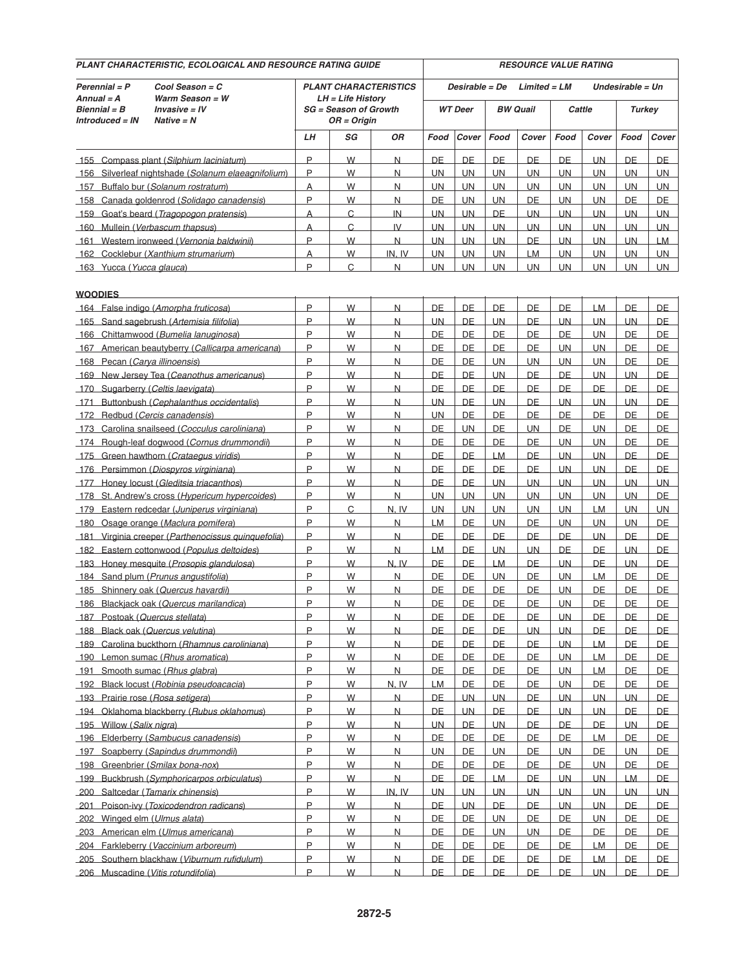| PLANT CHARACTERISTIC, ECOLOGICAL AND RESOURCE RATING GUIDE                                                                              |                                                                                  |                                                                                   |        |                              |                                  | <b>RESOURCE VALUE RATING</b> |                                   |                 |                  |                        |                                   |           |  |  |
|-----------------------------------------------------------------------------------------------------------------------------------------|----------------------------------------------------------------------------------|-----------------------------------------------------------------------------------|--------|------------------------------|----------------------------------|------------------------------|-----------------------------------|-----------------|------------------|------------------------|-----------------------------------|-----------|--|--|
| Cool Season = C<br>Perennial = P<br>$Annual = A$<br>Warm Season = W<br>$Bienrial = B$<br>Invasive = IV<br>Introduced = IN<br>Native = N |                                                                                  | <b>PLANT CHARACTERISTICS</b><br>LH = Life History<br><b>SG</b> = Season of Growth |        |                              | Desirable = De<br><b>WT</b> Deer |                              | $Limited = LM$<br><b>BW Quail</b> |                 | Cattle           |                        | Undesirable = Un<br><b>Turkey</b> |           |  |  |
|                                                                                                                                         |                                                                                  | $OR = Origin$                                                                     |        |                              |                                  |                              |                                   |                 |                  |                        |                                   |           |  |  |
|                                                                                                                                         |                                                                                  | LН                                                                                | SG     | ΟR                           | Food                             | Cover                        | Food                              | Cover           | Food             | Cover                  | Food                              | Cover     |  |  |
|                                                                                                                                         | 155 Compass plant (Silphium laciniatum)                                          | P                                                                                 | W      | N                            | DE                               | <b>DE</b>                    | DE                                | DE              | DE               | <b>UN</b>              | DE                                | DE        |  |  |
|                                                                                                                                         | 156 Silverleaf nightshade (Solanum elaeagnifolium)                               | P                                                                                 | W      | N                            | <b>UN</b>                        | <b>UN</b>                    | <b>UN</b>                         | <b>UN</b>       | UN               | <b>UN</b>              | <b>UN</b>                         | UN        |  |  |
| 157                                                                                                                                     | Buffalo bur (Solanum rostratum)                                                  | A                                                                                 | W      | N                            | <b>UN</b>                        | <b>UN</b>                    | UN                                | <b>UN</b>       | UN               | <b>UN</b>              | <b>UN</b>                         | <b>UN</b> |  |  |
|                                                                                                                                         | 158 Canada goldenrod (Solidago canadensis)                                       | P                                                                                 | W      | N                            | DE                               | UN.                          | <b>UN</b>                         | DE              | UN               | <b>UN</b>              | DE                                | DE        |  |  |
|                                                                                                                                         | 159 Goat's beard (Tragopogon pratensis)                                          | A                                                                                 | C      | $_{\text{IN}}$               | <b>UN</b>                        | <b>UN</b>                    | <b>DE</b>                         | <b>UN</b>       | UN.              | <b>UN</b>              | <b>UN</b>                         | UN        |  |  |
| 160 Mullein (Verbascum thapsus)                                                                                                         |                                                                                  | A                                                                                 | C      | IV                           | <b>UN</b>                        | <b>UN</b>                    | <b>UN</b>                         | <b>UN</b>       | <b>UN</b>        | <b>UN</b>              | <b>UN</b>                         | UN        |  |  |
|                                                                                                                                         | 161 Western ironweed (Vernonia baldwinii)                                        | P                                                                                 | W      | N                            | <b>UN</b>                        | UN.                          | <b>UN</b>                         | DE              | <b>UN</b>        | <b>UN</b>              | <b>UN</b>                         | <b>LM</b> |  |  |
|                                                                                                                                         | 162 Cocklebur (Xanthium strumarium)                                              | A                                                                                 | W      | IN. IV                       | <b>UN</b>                        | <b>UN</b>                    | <b>UN</b>                         | LM              | UN.              | <b>UN</b>              | <b>UN</b>                         | <b>UN</b> |  |  |
| 163 Yucca (Yucca glauca)                                                                                                                |                                                                                  | P                                                                                 | C      | N                            | <b>UN</b>                        | <b>UN</b>                    | <b>UN</b>                         | <b>UN</b>       | UN               | UN                     | <b>UN</b>                         | <b>UN</b> |  |  |
|                                                                                                                                         |                                                                                  |                                                                                   |        |                              |                                  |                              |                                   |                 |                  |                        |                                   |           |  |  |
| <b>WOODIES</b>                                                                                                                          |                                                                                  |                                                                                   |        |                              |                                  |                              |                                   |                 |                  |                        |                                   |           |  |  |
|                                                                                                                                         | 164 False indigo (Amorpha fruticosa)                                             | P                                                                                 | W      | N                            | DE                               | <b>DE</b>                    | DE                                | DE              | DE               | LM                     | DE                                | DE        |  |  |
|                                                                                                                                         | 165 Sand sagebrush (Artemisia filifolia)                                         | P                                                                                 | W      | N                            | <b>UN</b>                        | DE                           | <b>UN</b>                         | DE              | <b>UN</b>        | <b>UN</b>              | <b>UN</b>                         | DE        |  |  |
|                                                                                                                                         | 166 Chittamwood (Bumelia lanuginosa)                                             | P                                                                                 | W      | N                            | DE                               | DE                           | <b>DE</b>                         | <b>DE</b>       | <b>DE</b>        | <b>UN</b>              | <b>DE</b>                         | <b>DE</b> |  |  |
|                                                                                                                                         | 167 American beautyberry (Callicarpa americana)                                  | P                                                                                 | W      | N                            | DE                               | <b>DE</b>                    | DE                                | DE              | <b>UN</b>        | <b>UN</b>              | DE                                | DE        |  |  |
| 168 Pecan (Carya illinoensis)                                                                                                           |                                                                                  | P                                                                                 | W      | N                            | DE                               | DE                           | <b>UN</b>                         | <b>UN</b>       | UN.              | <b>UN</b>              | DE                                | DE        |  |  |
|                                                                                                                                         | 169 New Jersey Tea (Ceanothus americanus)                                        | P                                                                                 | W      | N                            | DE                               | DE                           | UN.                               | DE              | DE               | <b>UN</b>              | <b>UN</b>                         | <b>DE</b> |  |  |
| 170 Sugarberry (Celtis laevigata)                                                                                                       |                                                                                  | P                                                                                 | W      | N                            | DE                               | DE                           | DE                                | DE              | DE               | DE                     | DE                                | DE        |  |  |
|                                                                                                                                         | 171 Buttonbush (Cephalanthus occidentalis)                                       | P                                                                                 | W      | N                            | <b>UN</b>                        | DE                           | <b>UN</b>                         | DE              | UN.              | <b>UN</b>              | UN.                               | DE        |  |  |
| 172                                                                                                                                     | Redbud (Cercis canadensis)                                                       | P<br>P                                                                            | W      | N                            | <b>UN</b>                        | <b>DE</b>                    | <b>DE</b>                         | <b>DE</b>       | <b>DE</b>        | DE                     | <b>DE</b>                         | <b>DE</b> |  |  |
| 173                                                                                                                                     | Carolina snailseed (Cocculus caroliniana)                                        | P                                                                                 | W      | N                            | DE                               | <b>UN</b>                    | DE                                | <b>UN</b>       | DE               | <b>UN</b>              | DE                                | DE        |  |  |
|                                                                                                                                         | 174 Rough-leaf dogwood (Cornus drummondii)                                       | P                                                                                 | W      | N                            | DE<br>DE                         | DE<br><b>DE</b>              | DE                                | DE<br><b>DE</b> | UN.              | <b>UN</b>              | DE                                | DE        |  |  |
|                                                                                                                                         | 175 Green hawthorn (Crataegus viridis)                                           | P                                                                                 | W<br>W | $\overline{\mathsf{N}}$<br>N | DE                               | DE                           | <b>LM</b><br><b>DE</b>            | DE              | UN.<br><b>UN</b> | <b>UN</b><br><b>UN</b> | <b>DE</b><br>DE                   | DE<br>DE  |  |  |
|                                                                                                                                         | 176 Persimmon (Diospyros virginiana)<br>177 Honey locust (Gleditsia triacanthos) | P                                                                                 | W      | N                            | DE                               | DE                           | <b>UN</b>                         | <b>UN</b>       | <b>UN</b>        | UN.                    | <b>UN</b>                         | <b>UN</b> |  |  |
|                                                                                                                                         | 178 St. Andrew's cross (Hypericum hypercoides)                                   | P                                                                                 | W      | N                            | <b>UN</b>                        | <b>UN</b>                    | <b>UN</b>                         | <b>UN</b>       | UN.              | <b>UN</b>              | <b>UN</b>                         | DE        |  |  |
| 179                                                                                                                                     | Eastern redcedar (Juniperus virginiana)                                          | P                                                                                 | C      | N.IV                         | <b>UN</b>                        | <b>UN</b>                    | UN                                | <b>UN</b>       | UN               | <b>LM</b>              | <b>UN</b>                         | UN        |  |  |
|                                                                                                                                         | 180 Osage orange (Maclura pomifera)                                              | P                                                                                 | W      | N                            | LM.                              | DE                           | <b>UN</b>                         | DE              | UN               | <b>UN</b>              | UN.                               | DE        |  |  |
|                                                                                                                                         | 181 Virginia creeper (Parthenocissus quinquefolia)                               | P                                                                                 | W      | N                            | DE                               | DE                           | <b>DE</b>                         | <b>DE</b>       | DE               | <b>UN</b>              | <b>DE</b>                         | <b>DE</b> |  |  |
|                                                                                                                                         | 182 Eastern cottonwood (Populus deltoides)                                       | P                                                                                 | W      | N                            | <b>LM</b>                        | DE                           | <b>UN</b>                         | <b>UN</b>       | <b>DE</b>        | DE                     | <b>UN</b>                         | DE        |  |  |
|                                                                                                                                         | 183 Honey mesquite (Prosopis glandulosa)                                         | P                                                                                 | W      | N.IV                         | DE                               | DE                           | <b>LM</b>                         | DE              | <b>UN</b>        | DE                     | <b>UN</b>                         | DE        |  |  |
|                                                                                                                                         | 184 Sand plum (Prunus angustifolia)                                              | P                                                                                 | W      | $\overline{\mathsf{N}}$      | DE                               | DE                           | <b>UN</b>                         | <b>DE</b>       | UN               | LM.                    | DE                                | DE        |  |  |
|                                                                                                                                         | 185 Shinnery oak (Quercus havardii)                                              | P                                                                                 | W      | N                            | DE                               | DE                           | DE                                | DE              | <b>UN</b>        | DE                     | DE                                | DE        |  |  |
|                                                                                                                                         | 186 Blackiack oak (Quercus marilandica)                                          | P                                                                                 | W      | N                            | DE                               | DE                           | <b>DE</b>                         | DE              | <b>UN</b>        | DE                     | <b>DE</b>                         | DE        |  |  |
| 187 Postoak (Quercus stellata)                                                                                                          |                                                                                  | P                                                                                 | W      | N                            | DE                               | <b>DE</b>                    | <b>DE</b>                         | <b>DE</b>       | <b>UN</b>        | DE                     | <b>DE</b>                         | DE        |  |  |
| 188 Black oak (Quercus velutina)                                                                                                        |                                                                                  | P                                                                                 | W      | $\overline{\mathsf{N}}$      | <b>DE</b>                        | DE                           | <b>DE</b>                         | UN              | <b>UN</b>        | <b>DE</b>              | <b>DE</b>                         | DE        |  |  |
|                                                                                                                                         | 189 Carolina buckthorn (Rhamnus caroliniana)                                     | P                                                                                 | W      | $\overline{\mathsf{N}}$      | <b>DE</b>                        | DE                           | <b>DE</b>                         | <b>DE</b>       | <b>UN</b>        | <b>LM</b>              | DE                                | <b>DE</b> |  |  |
|                                                                                                                                         | 190 Lemon sumac (Rhus aromatica)                                                 | P                                                                                 | W      | $\overline{\mathsf{N}}$      | <b>DE</b>                        | <b>DE</b>                    | <b>DE</b>                         | <b>DE</b>       | UN               | <b>LM</b>              | DE                                | <b>DE</b> |  |  |
| 191 Smooth sumac (Rhus glabra)                                                                                                          |                                                                                  | P                                                                                 | W      | $\overline{N}$               | <b>DE</b>                        | DE                           | DE.                               | <b>DE</b>       | UN               | <b>LM</b>              | DE                                | <b>DE</b> |  |  |
|                                                                                                                                         | 192 Black locust (Robinia pseudoacacia)                                          | P                                                                                 | W      | N, IV                        | <b>LM</b>                        | <b>DE</b>                    | <b>DE</b>                         | <b>DE</b>       | <u>UN</u>        | <b>DE</b>              | <u>DE</u>                         | DE        |  |  |
| 193 Prairie rose (Rosa setigera)                                                                                                        |                                                                                  | P                                                                                 | W      | N                            | DE                               | <b>UN</b>                    | <b>UN</b>                         | <b>DE</b>       | UN.              | <b>UN</b>              | <b>UN</b>                         | DE        |  |  |
|                                                                                                                                         | 194 Oklahoma blackberry (Rubus oklahomus)                                        | P                                                                                 | W      | $\overline{\mathsf{N}}$      | <b>DE</b>                        | <b>UN</b>                    | <b>DE</b>                         | <b>DE</b>       | <b>UN</b>        | <b>UN</b>              | <b>DE</b>                         | <b>DE</b> |  |  |
| 195 Willow (Salix nigra)                                                                                                                |                                                                                  | P                                                                                 | W      | $\overline{N}$               | <b>UN</b>                        | DE                           | <b>UN</b>                         | <b>DE</b>       | DE               | <b>DE</b>              | <b>UN</b>                         | DE        |  |  |
|                                                                                                                                         | 196 Elderberry (Sambucus canadensis)                                             | P                                                                                 | W      | $\overline{N}$               | DE                               | DE                           | <b>DE</b>                         | <b>DE</b>       | DE               | LM.                    | DE                                | <b>DE</b> |  |  |
|                                                                                                                                         | 197 Soapberry (Sapindus drummondii)                                              | P                                                                                 | W      | $\overline{N}$               | <b>UN</b>                        | DE                           | UN                                | <b>DE</b>       | UN               | <b>DE</b>              | UN.                               | DE        |  |  |
| 198 Greenbrier (Smilax bona-nox)                                                                                                        |                                                                                  | P                                                                                 | W      | <u>N</u>                     | <b>DE</b>                        | <b>DE</b>                    | <b>DE</b>                         | <b>DE</b>       | DE               | UN                     | <b>DE</b>                         | <b>DE</b> |  |  |
| 199 Buckbrush (Symphoricarpos orbiculatus)                                                                                              |                                                                                  | P                                                                                 | W      | Ν                            | DE                               | DE                           | <b>LM</b>                         | <b>DE</b>       | <b>UN</b>        | UN.                    | <b>LM</b>                         | <b>DE</b> |  |  |
| 200 Saltcedar (Tamarix chinensis)                                                                                                       |                                                                                  | P                                                                                 | W      | IN, IV                       | <b>UN</b>                        | <b>UN</b>                    | <b>UN</b>                         | <b>UN</b>       | <b>UN</b>        | <b>UN</b>              | <b>UN</b>                         | <b>UN</b> |  |  |
|                                                                                                                                         | 201 Poison-ivy (Toxicodendron radicans)                                          | P                                                                                 | W      | $\overline{\mathsf{N}}$      | <b>DE</b>                        | UN.                          | <b>DE</b>                         | <b>DE</b>       | UN               | <b>UN</b>              | DE                                | <b>DE</b> |  |  |
| 202 Winged elm (Ulmus alata)                                                                                                            |                                                                                  | P                                                                                 | W      | $\overline{N}$               | DE                               | DE                           | UN                                | DE              | DE               | <b>UN</b>              | DE                                | <b>DE</b> |  |  |
|                                                                                                                                         | 203 American elm (Ulmus americana)                                               | P                                                                                 | W      | $\overline{\mathsf{N}}$      | <b>DE</b>                        | DE                           | UN                                | UN.             | DE               | DE                     | DE                                | DE        |  |  |
|                                                                                                                                         | 204 Farkleberry (Vaccinium arboreum)                                             | P                                                                                 | W      | $\overline{\mathsf{N}}$      | <b>DE</b>                        | <b>DE</b>                    | <b>DE</b>                         | <b>DE</b>       | <b>DE</b>        | LM                     | <u>DE</u>                         | DE        |  |  |
|                                                                                                                                         | 205 Southern blackhaw (Viburnum rufidulum)                                       | P                                                                                 | W      | N                            | <b>DE</b>                        | <b>DE</b>                    | <b>DE</b>                         | <b>DE</b>       | DE               | LM.                    | <b>DE</b>                         | DE.       |  |  |
| 206 Muscadine (Vitis rotundifolia)                                                                                                      |                                                                                  | P                                                                                 | W      | $\overline{\mathsf{N}}$      | <b>DE</b>                        | DE                           | <b>DE</b>                         | <b>DE</b>       | <b>DE</b>        | <b>UN</b>              | <b>DE</b>                         | DE        |  |  |